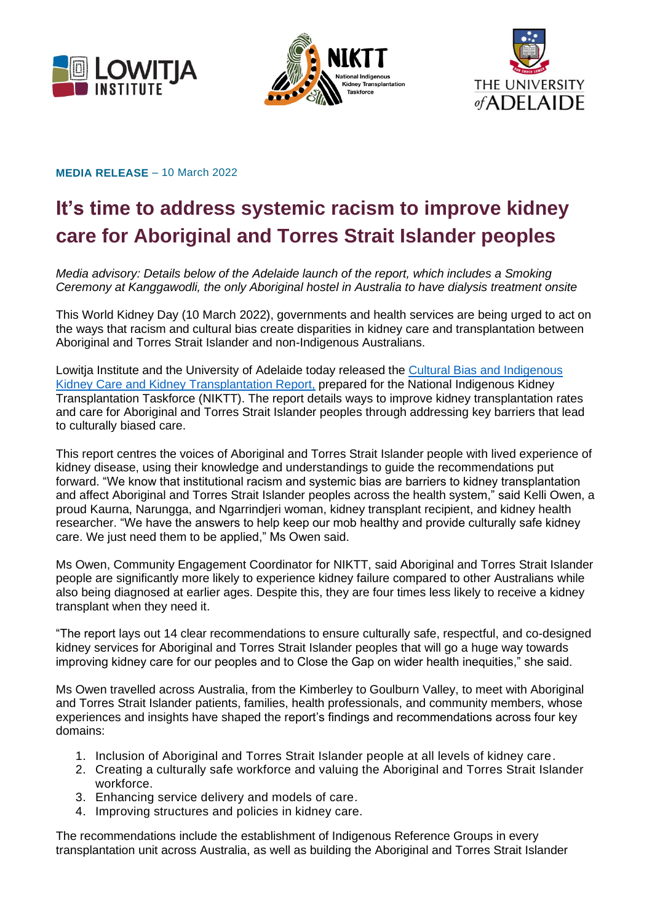





**MEDIA RELEASE** – 10 March 2022

## **It's time to address systemic racism to improve kidney care for Aboriginal and Torres Strait Islander peoples**

*Media advisory: Details below of the Adelaide launch of the report, which includes a Smoking Ceremony at Kanggawodli, the only Aboriginal hostel in Australia to have dialysis treatment onsite*

This World Kidney Day (10 March 2022), governments and health services are being urged to act on the ways that racism and cultural bias create disparities in kidney care and transplantation between Aboriginal and Torres Strait Islander and non-Indigenous Australians.

Lowitja Institute and the University of Adelaide today released the [Cultural Bias and Indigenous](https://www.lowitja.org.au/page/services/resources/health-services-and-workforce/cultural-safety/cultural-biasindigenous-kidney-care-and-kidney-transplantation-report)  [Kidney Care and Kidney Transplantation Report,](https://www.lowitja.org.au/page/services/resources/health-services-and-workforce/cultural-safety/cultural-biasindigenous-kidney-care-and-kidney-transplantation-report) prepared for the National Indigenous Kidney Transplantation Taskforce (NIKTT). The report details ways to improve kidney transplantation rates and care for Aboriginal and Torres Strait Islander peoples through addressing key barriers that lead to culturally biased care.

This report centres the voices of Aboriginal and Torres Strait Islander people with lived experience of kidney disease, using their knowledge and understandings to guide the recommendations put forward. "We know that institutional racism and systemic bias are barriers to kidney transplantation and affect Aboriginal and Torres Strait Islander peoples across the health system," said Kelli Owen, a proud Kaurna, Narungga, and Ngarrindjeri woman, kidney transplant recipient, and kidney health researcher. "We have the answers to help keep our mob healthy and provide culturally safe kidney care. We just need them to be applied," Ms Owen said.

Ms Owen, Community Engagement Coordinator for NIKTT, said Aboriginal and Torres Strait Islander people are significantly more likely to experience kidney failure compared to other Australians while also being diagnosed at earlier ages. Despite this, they are four times less likely to receive a kidney transplant when they need it.

"The report lays out 14 clear recommendations to ensure culturally safe, respectful, and co-designed kidney services for Aboriginal and Torres Strait Islander peoples that will go a huge way towards improving kidney care for our peoples and to Close the Gap on wider health inequities," she said.

Ms Owen travelled across Australia, from the Kimberley to Goulburn Valley, to meet with Aboriginal and Torres Strait Islander patients, families, health professionals, and community members, whose experiences and insights have shaped the report's findings and recommendations across four key domains:

- 1. Inclusion of Aboriginal and Torres Strait Islander people at all levels of kidney care.
- 2. Creating a culturally safe workforce and valuing the Aboriginal and Torres Strait Islander workforce.
- 3. Enhancing service delivery and models of care.
- 4. Improving structures and policies in kidney care.

The recommendations include the establishment of Indigenous Reference Groups in every transplantation unit across Australia, as well as building the Aboriginal and Torres Strait Islander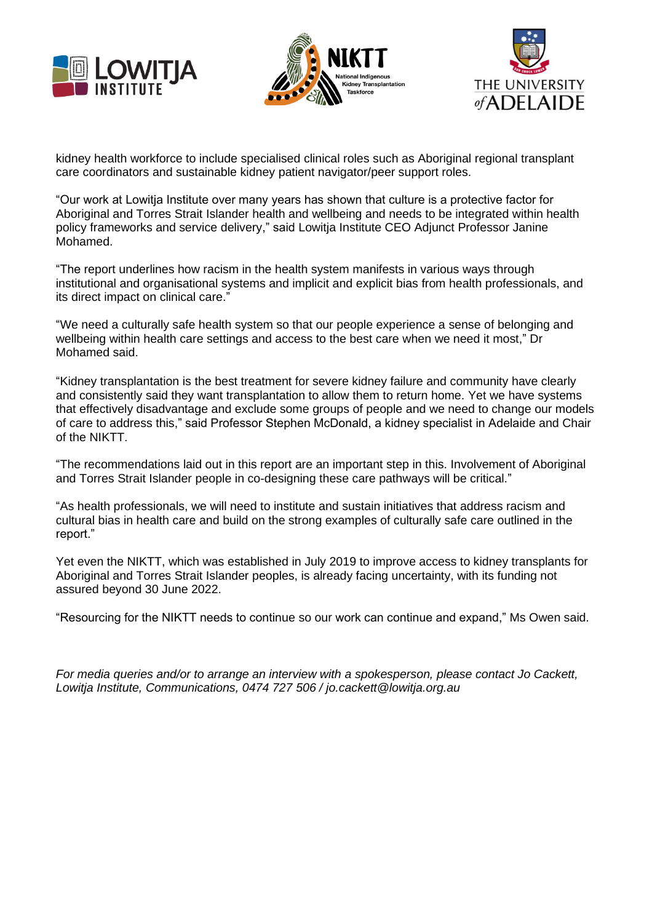





kidney health workforce to include specialised clinical roles such as Aboriginal regional transplant care coordinators and sustainable kidney patient navigator/peer support roles.

"Our work at Lowitja Institute over many years has shown that culture is a protective factor for Aboriginal and Torres Strait Islander health and wellbeing and needs to be integrated within health policy frameworks and service delivery," said Lowitja Institute CEO Adjunct Professor Janine Mohamed.

"The report underlines how racism in the health system manifests in various ways through institutional and organisational systems and implicit and explicit bias from health professionals, and its direct impact on clinical care."

"We need a culturally safe health system so that our people experience a sense of belonging and wellbeing within health care settings and access to the best care when we need it most," Dr Mohamed said.

"Kidney transplantation is the best treatment for severe kidney failure and community have clearly and consistently said they want transplantation to allow them to return home. Yet we have systems that effectively disadvantage and exclude some groups of people and we need to change our models of care to address this," said Professor Stephen McDonald, a kidney specialist in Adelaide and Chair of the NIKTT.

"The recommendations laid out in this report are an important step in this. Involvement of Aboriginal and Torres Strait Islander people in co-designing these care pathways will be critical."

"As health professionals, we will need to institute and sustain initiatives that address racism and cultural bias in health care and build on the strong examples of culturally safe care outlined in the report."

Yet even the NIKTT, which was established in July 2019 to improve access to kidney transplants for Aboriginal and Torres Strait Islander peoples, is already facing uncertainty, with its funding not assured beyond 30 June 2022.

"Resourcing for the NIKTT needs to continue so our work can continue and expand," Ms Owen said.

*For media queries and/or to arrange an interview with a spokesperson, please contact Jo Cackett, Lowitja Institute, Communications, 0474 727 506 / jo.cackett@lowitja.org.au*